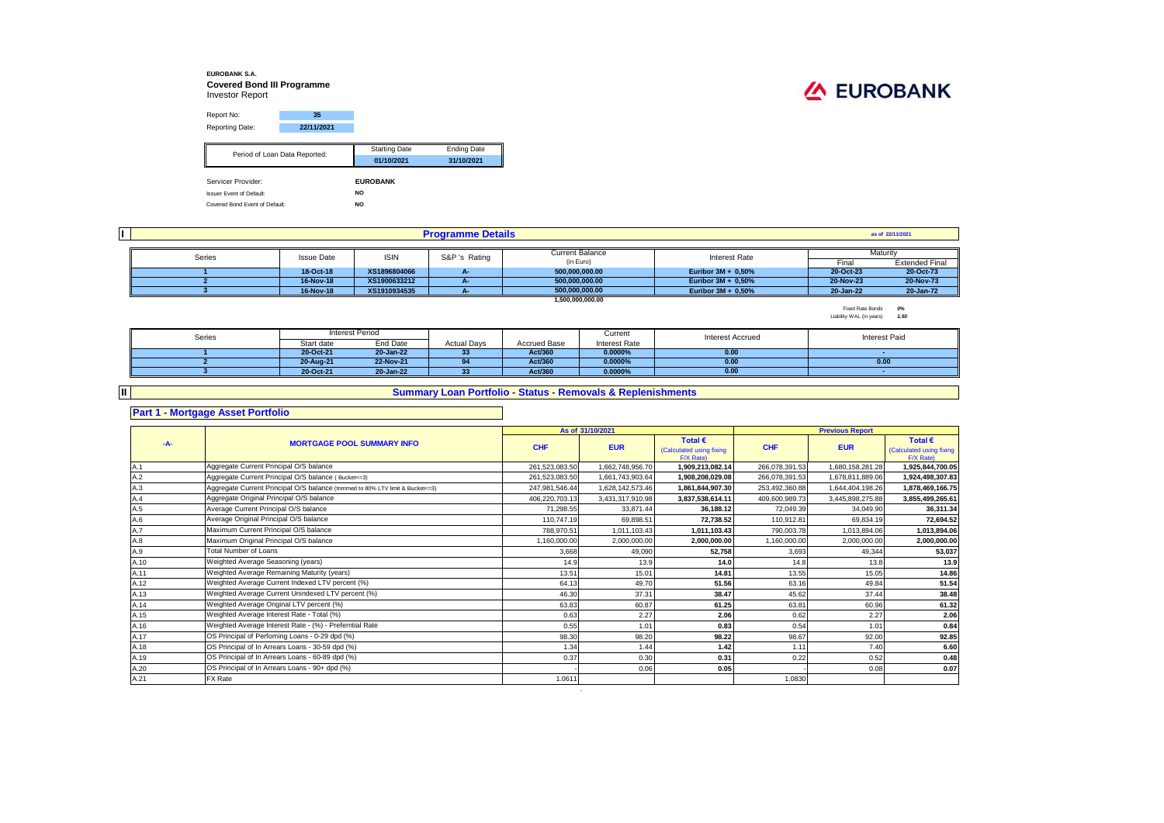#### **EUROBANK S.A. Covered Bond III Programme** Investor Report

# **/A EUROBANK**

| Report No:                      | 35         |                      |                    |  |
|---------------------------------|------------|----------------------|--------------------|--|
| Reporting Date:                 | 22/11/2021 |                      |                    |  |
|                                 |            |                      |                    |  |
| Period of Loan Data Reported:   |            | <b>Starting Date</b> | <b>Ending Date</b> |  |
|                                 |            | 01/10/2021           | 31/10/2021         |  |
|                                 |            |                      |                    |  |
| Servicer Provider:              |            | <b>EUROBANK</b>      |                    |  |
| <b>Issuer Event of Default:</b> |            | NO.                  |                    |  |
| Covered Bond Event of Default:  |            | <b>NO</b>            |                    |  |

|        |                   |              | <b>Programme Details</b> |                        |                       |           | as of 22/11/2021      |
|--------|-------------------|--------------|--------------------------|------------------------|-----------------------|-----------|-----------------------|
|        |                   |              |                          |                        |                       |           |                       |
| Series | <b>Issue Date</b> | <b>ISIN</b>  | S&P 's Rating            | <b>Current Balance</b> | Interest Rate         |           | Maturity              |
|        |                   |              |                          | (in Euro)              |                       | Final     | <b>Extended Final</b> |
|        | 18-Oct-18         | XS1896804066 |                          | 500,000,000.00         | Euribor $3M + 0.50%$  | 20-Oct-23 | 20-Oct-73             |
|        | 16-Nov-18         | XS1900633212 | . .                      | 500.000.000.00         | Euribor $3M + 0.50%$  | 20-Nov-23 | 20-Nov-73             |
|        | 16-Nov-18         | XS1910934535 |                          | 500.000.000.00         | Euribor $3M + 0.50\%$ | 20-Jan-22 | 20-Jan-72             |
|        |                   |              |                          | 1,500,000,000,00       |                       |           |                       |

Fixed Rate Bonds *0%* Liability WAL (in years) *1.50*

| Series |            | Interest Period |                    |              | Current              | <b>Interest Accrued</b> | <b>Interest Paid</b> |
|--------|------------|-----------------|--------------------|--------------|----------------------|-------------------------|----------------------|
|        | Start date | End Date        | <b>Actual Days</b> | Accrued Base | <b>Interest Rate</b> |                         |                      |
|        | 20-Oct-21  | 20-Jan-22       | 33                 | Act/360      | 0.0000%              | 0.00                    |                      |
|        | 20-Aug-21  | 22-Nov-21       | 0 <sub>A</sub>     | Act/360      | 0.0000%              | 0.00                    | 0.00                 |
|        | 20-Oct-21  | 20-Jan-22       | 33                 | Act/360      | 0.0000%              | 0.00                    |                      |

### **Summary Loan Portfolio - Status - Removals & Replenishments**

#### **Part 1 - Mortgage Asset Portfolio**

**II**

#### **As of** Total € **Total EXECUS Fotal EXECUS Fotal EXECUS Fotal EXECUS Fotal EXECUS** (Calculated using fixing **EUR CHF EUR**  $F/X$  Rate)<br>1.909.213.082.14 Calculated using fixing  $F/X$  Rate)<br>1.925.844.700.05 A.1 261,523,083.50 1,662,748,956.70 **1,909,213,082.14** 266,078,391.53 1,680,158,281.28 **1,925,844,700.05** Aggregate Current Principal O/S balance A.2 261,523,083.50 1,661,743,903.64 **1,908,208,029.08** 266,078,391.53 1,678,811,889.06 **1,924,498,307.83** Aggregate Current Principal O/S balance ( Bucket<=3) A.3 **253,492,360.88** 1,644,404,198.26 1,**878,469,166.75** 1,878,469,166.75 **1,878,469,166.75** 1,878,469,166.75 1,878,469,166.75 1,878,469,166.75 1,878,469,166.75 1,878,469,166.75 1,878,469,166.75 1,878,469,166.75 1,878,469, A.4 406,220,703.13 3,431,317,910.98 **3,837,538,614.11** 409,600,989.73 3,445,898,275.88 **3,855,499,265.61** Aggregate Original Principal O/S balance A.5 71,298.55 33,871.44 **36,188.12** 72,049.39 34,049.90 **36,311.34** A.6 110,747.19 69,898.51 **72,738.52** 110,912.81 69,834.19 **72,694.52** Average Original Principal O/S balance A.7 788,970.51 1,011,103.43 **1,011,103.43** 790,003.78 1,013,894.06 **1,013,894.06** Maximum Current Principal O/S balance A.8 1,160,000.00 2,000,000.00 **2,000,000.00** 1,160,000.00 2,000,000.00 **2,000,000.00** Maximum Original Principal O/S balance A.9 3,668 49,090 **52,758** 3,693 49,344 **53,037** A.10 14.9 13.9 **14.0** 14.8 13.8 **13.9** Weighted Average Seasoning (years) A.11 13.51 15.01 **14.81** 13.55 15.05 **14.86** Weighted Average Remaining Maturity (years) A.12 64.13 49.70 **51.56** 63.16 49.84 **51.54** Weighted Average Current Indexed LTV percent (%) A.13 46.30 37.31 **38.47** 45.62 37.44 **38.48** Weighted Average Current Unindexed LTV percent (%) A.14 63.83 60.87 **61.25** 63.81 60.96 **61.32** Weighted Average Original LTV percent (%) A.15 0.63 2.27 **2.06** 0.62 2.27 **2.06** Weighted Average Interest Rate - Total (%) A.16 0.55 1.01 **0.83** 0.54 1.01 **0.84** Weighted Average Interest Rate - (%) - Preferntial Rate A.17 98.30 98.20 **98.22** 98.67 92.00 **92.85** OS Principal of Perfoming Loans - 0-29 dpd (%) A.18 1.34 1.44 **1.42** 1.11 7.40 **6.60** OS Principal of In Arrears Loans - 30-59 dpd (%) A.19 0.37 0.30 **0.31** 0.22 0.52 **0.48** OS Principal of In Arrears Loans - 60-89 dpd (%) A.20 - 0.06 **0.05** - 0.08 **0.07** OS Principal of In Arrears Loans - 90+ dpd (%) A.21 PX Rate the state of the state of the state of the state of the state of the state of the state of the state of the state of the state of the state of the state of the state of the state of the state of the state of t **-A- MORTGAGE POOL SUMMARY INFO Previous Report CHF Average Current Principal O/S balance** Total Number of Loans FX Rate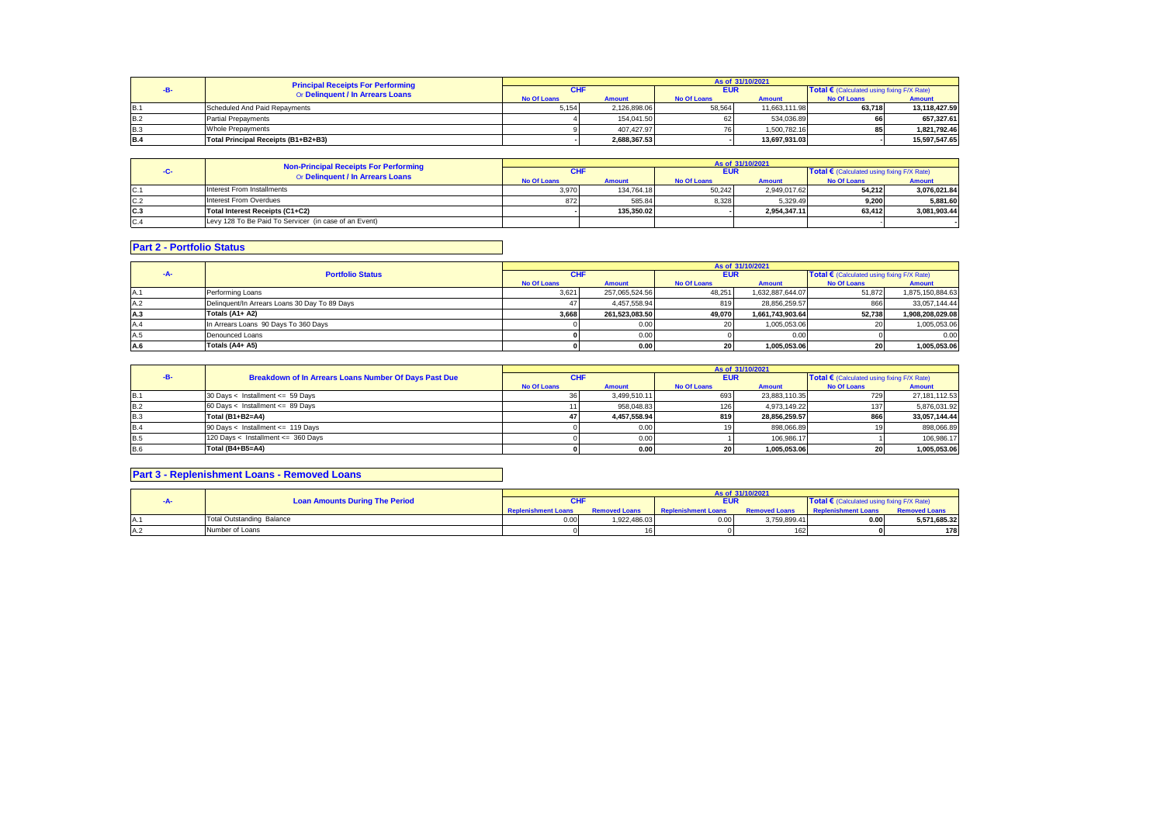|            | <b>Principal Receipts For Performing</b> | As of 31/10/2021   |               |                    |               |                                            |               |  |  |
|------------|------------------------------------------|--------------------|---------------|--------------------|---------------|--------------------------------------------|---------------|--|--|
|            | Or Delinquent / In Arrears Loans         | CHI                |               | <b>EUR</b>         |               | Total € (Calculated using fixing F/X Rate) |               |  |  |
|            |                                          | <b>No Of Loans</b> | <b>Amount</b> | <b>No Of Loans</b> | <b>Amount</b> | <b>No Of Loans</b>                         | <b>Amount</b> |  |  |
| <b>B.1</b> | Scheduled And Paid Repayments            | 5.154              | 2.126.898.06  | 58,564             | 11,663,111.98 | 63.718                                     | 13.118.427.59 |  |  |
| <b>B.2</b> | <b>Partial Prepayments</b>               |                    | 154.041.50    | 62                 | 534.036.89    |                                            | 657.327.61    |  |  |
| <b>B.3</b> | <b>Whole Prepayments</b>                 |                    | 407.427.97    | 76.                | 1.500.782.16  | 85                                         | 1.821.792.46  |  |  |
| <b>B.4</b> | Total Principal Receipts (B1+B2+B3)      |                    | 2.688.367.53  |                    | 13.697.931.03 |                                            | 15.597.547.65 |  |  |

|     | Non-Principal Receipts For Performing                 | As of 31/10/2021   |               |                    |               |                                            |              |  |
|-----|-------------------------------------------------------|--------------------|---------------|--------------------|---------------|--------------------------------------------|--------------|--|
|     | Or Delinquent / In Arrears Loans                      | CHI                |               | <b>EUR</b>         |               | Total € (Calculated using fixing F/X Rate) |              |  |
|     |                                                       | <b>No Of Loans</b> | <b>Amount</b> | <b>No Of Loans</b> | <b>Amount</b> | <b>No Of Loans</b>                         | Amount       |  |
| C.1 | Interest From Installments                            | 3.970              | 134.764.18    | 50.242             | 2.949.017.62  | 54.212                                     | 3.076.021.84 |  |
| C.2 | Interest From Overdues                                | 872                | 585.84        | 8.328              | 5.329.49      | 9.200                                      | 5.881.60     |  |
| C.3 | Total Interest Receipts (C1+C2)                       |                    | 135.350.02    |                    | 2.954.347.11  | 63,412                                     | 3.081.903.44 |  |
| C.4 | Levy 128 To Be Paid To Servicer (in case of an Event) |                    |               |                    |               |                                            |              |  |

## **Part 2 - Portfolio Status**

|      |                                               |                    |                |                    | As of 31/10/2021 |                                            |                  |
|------|-----------------------------------------------|--------------------|----------------|--------------------|------------------|--------------------------------------------|------------------|
| -A-  | <b>Portfolio Status</b>                       | <b>CHF</b>         |                | <b>EUR</b>         |                  | Total € (Calculated using fixing F/X Rate) |                  |
|      |                                               | <b>No Of Loans</b> | <b>Amount</b>  | <b>No Of Loans</b> | <b>Amount</b>    | <b>No Of Loans</b>                         | <b>Amount</b>    |
| IA.1 | Performing Loans                              | 3,621              | 257,065,524.56 | 48.251             | 1,632,887,644.07 | 51,872                                     | 1,875,150,884.63 |
| A.2  | Delinquent/In Arrears Loans 30 Day To 89 Days |                    | 4.457.558.94   | 819                | 28.856.259.57    | 866                                        | 33.057.144.44    |
| A.3  | Totals (A1+ A2)                               | 3.668              | 261.523.083.50 | 49.070             | 1.661.743.903.64 | 52.738                                     | 1.908.208.029.08 |
| A.4  | In Arrears Loans 90 Days To 360 Days          |                    | 0.00           | 20                 | 1,005,053.06     | ZU.                                        | 1,005,053.06     |
| A.5  | Denounced Loans                               |                    | 0.00           |                    | 0.00             |                                            | 0.00             |
| A.6  | Totals (A4+ A5)                               |                    | 0.00           | <b>20</b>          | 1.005.053.06     | 20                                         | 1,005,053.06     |

|            |                                                       | As of 31/10/2021   |               |                    |               |                                                     |               |  |
|------------|-------------------------------------------------------|--------------------|---------------|--------------------|---------------|-----------------------------------------------------|---------------|--|
|            | Breakdown of In Arrears Loans Number Of Days Past Due | <b>CHF</b>         |               | <b>EUR</b>         |               | Total $\epsilon$ (Calculated using fixing F/X Rate) |               |  |
|            |                                                       | <b>No Of Loans</b> | <b>Amount</b> | <b>No Of Loans</b> | <b>Amount</b> | <b>No Of Loans</b>                                  | <b>Amount</b> |  |
| <b>B.1</b> | 30 Days < Installment <= 59 Days                      | 361                | 3.499.510.11  | 693                | 23.883.110.35 | 729                                                 | 27,181,112.53 |  |
| <b>B.2</b> | 60 Days < Installment <= 89 Days                      |                    | 958.048.83    | 126                | 4.973.149.22  | 137                                                 | 5,876,031.92  |  |
| <b>B.3</b> | Total (B1+B2=A4)                                      |                    | 4.457.558.94  | 819                | 28.856.259.57 | 866                                                 | 33.057.144.44 |  |
| <b>B.4</b> | 90 Days < Installment <= 119 Days                     |                    | 0.00          |                    | 898.066.89    |                                                     | 898,066.89    |  |
| <b>B.5</b> | 120 Days < Installment <= 360 Days                    |                    | 0.00          |                    | 106,986.17    |                                                     | 106,986.17    |  |
| <b>B.6</b> | Total (B4+B5=A4)                                      |                    | 0.00          |                    | 1.005.053.06  |                                                     | 1.005.053.06  |  |

## **Part 3 - Replenishment Loans - Removed Loans**

|     |                                       |                            |                      |                            | As of 31/10/2021     |                                              |                      |
|-----|---------------------------------------|----------------------------|----------------------|----------------------------|----------------------|----------------------------------------------|----------------------|
|     | <b>Loan Amounts During The Period</b> |                            |                      | <b>EUR</b>                 |                      | Total € (Calculated using fixing $F/X$ Rate) |                      |
|     |                                       | <b>Replenishment Loans</b> | <b>Removed Loans</b> | <b>Replenishment Loans</b> | <b>Removed Loans</b> | <b>Replenishment Loans</b>                   | <b>Removed Loans</b> |
|     | <b>Total Outstanding Balance</b>      | 0.00                       | 1.922.486.03         | 0.00                       | 3,759,899.41         | 0.00                                         | 5,571,685.32         |
| -A∴ | Number of Loans                       |                            |                      |                            | 162                  |                                              | 178                  |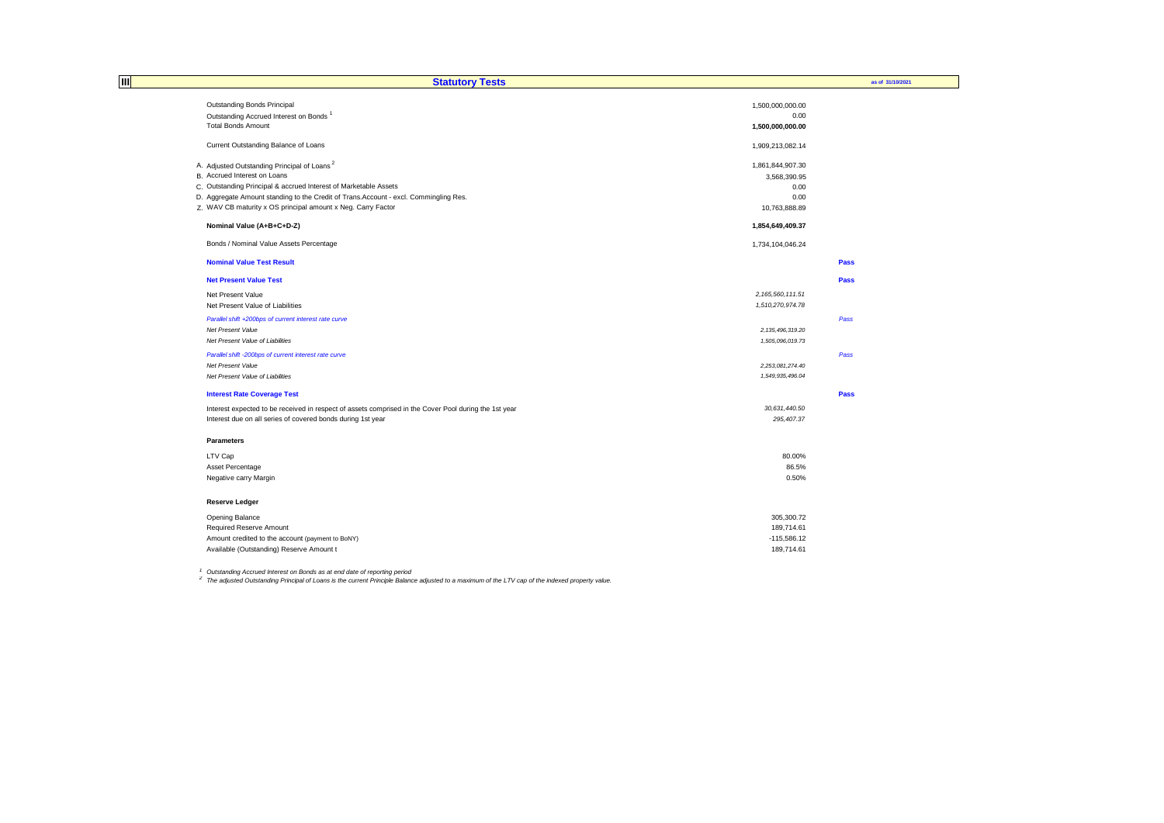| Ш | <b>Statutory Tests</b>                                                                                |                     | as of 31/10/2021 |
|---|-------------------------------------------------------------------------------------------------------|---------------------|------------------|
|   | Outstanding Bonds Principal                                                                           | 1,500,000,000.00    |                  |
|   | Outstanding Accrued Interest on Bonds <sup>1</sup>                                                    | 0.00                |                  |
|   | <b>Total Bonds Amount</b>                                                                             | 1,500,000,000.00    |                  |
|   | Current Outstanding Balance of Loans                                                                  | 1,909,213,082.14    |                  |
|   | A. Adjusted Outstanding Principal of Loans <sup>2</sup>                                               | 1,861,844,907.30    |                  |
|   | B. Accrued Interest on Loans                                                                          | 3,568,390.95        |                  |
|   | C. Outstanding Principal & accrued Interest of Marketable Assets                                      | 0.00                |                  |
|   | D. Aggregate Amount standing to the Credit of Trans. Account - excl. Commingling Res.                 | 0.00                |                  |
|   | Z. WAV CB maturity x OS principal amount x Neg. Carry Factor                                          | 10,763,888.89       |                  |
|   | Nominal Value (A+B+C+D-Z)                                                                             | 1,854,649,409.37    |                  |
|   | Bonds / Nominal Value Assets Percentage                                                               | 1,734,104,046.24    |                  |
|   | <b>Nominal Value Test Result</b>                                                                      |                     | Pass             |
|   | <b>Net Present Value Test</b>                                                                         |                     | Pass             |
|   | Net Present Value                                                                                     | 2, 165, 560, 111.51 |                  |
|   | Net Present Value of Liabilities                                                                      | 1,510,270,974.78    |                  |
|   | Parallel shift +200bps of current interest rate curve                                                 |                     | Pass             |
|   | Net Present Value                                                                                     | 2, 135, 496, 319.20 |                  |
|   | Net Present Value of Liabilities                                                                      | 1,505,096,019.73    |                  |
|   | Parallel shift -200bps of current interest rate curve                                                 |                     | Pass             |
|   | Net Present Value                                                                                     | 2,253,081,274.40    |                  |
|   | Net Present Value of Liabilities                                                                      | 1,549,935,496.04    |                  |
|   | <b>Interest Rate Coverage Test</b>                                                                    |                     | Pass             |
|   | Interest expected to be received in respect of assets comprised in the Cover Pool during the 1st year | 30,631,440.50       |                  |
|   | Interest due on all series of covered bonds during 1st year                                           | 295,407.37          |                  |
|   | <b>Parameters</b>                                                                                     |                     |                  |
|   | LTV Cap                                                                                               | 80.00%              |                  |
|   | Asset Percentage                                                                                      | 86.5%               |                  |
|   | Negative carry Margin                                                                                 | 0.50%               |                  |
|   | <b>Reserve Ledger</b>                                                                                 |                     |                  |
|   | Opening Balance                                                                                       | 305,300.72          |                  |
|   | Required Reserve Amount                                                                               | 189,714.61          |                  |
|   | Amount credited to the account (payment to BoNY)                                                      | $-115,586.12$       |                  |
|   | Available (Outstanding) Reserve Amount t                                                              | 189.714.61          |                  |

<sup>1</sup> Outstanding Accrued Interest on Bonds as at end date of reporting period<br><sup>2</sup> The adjusted Outstanding Principal of Loans is the current Principle Balance adjusted to a maximum of the LTV cap of the indexed property val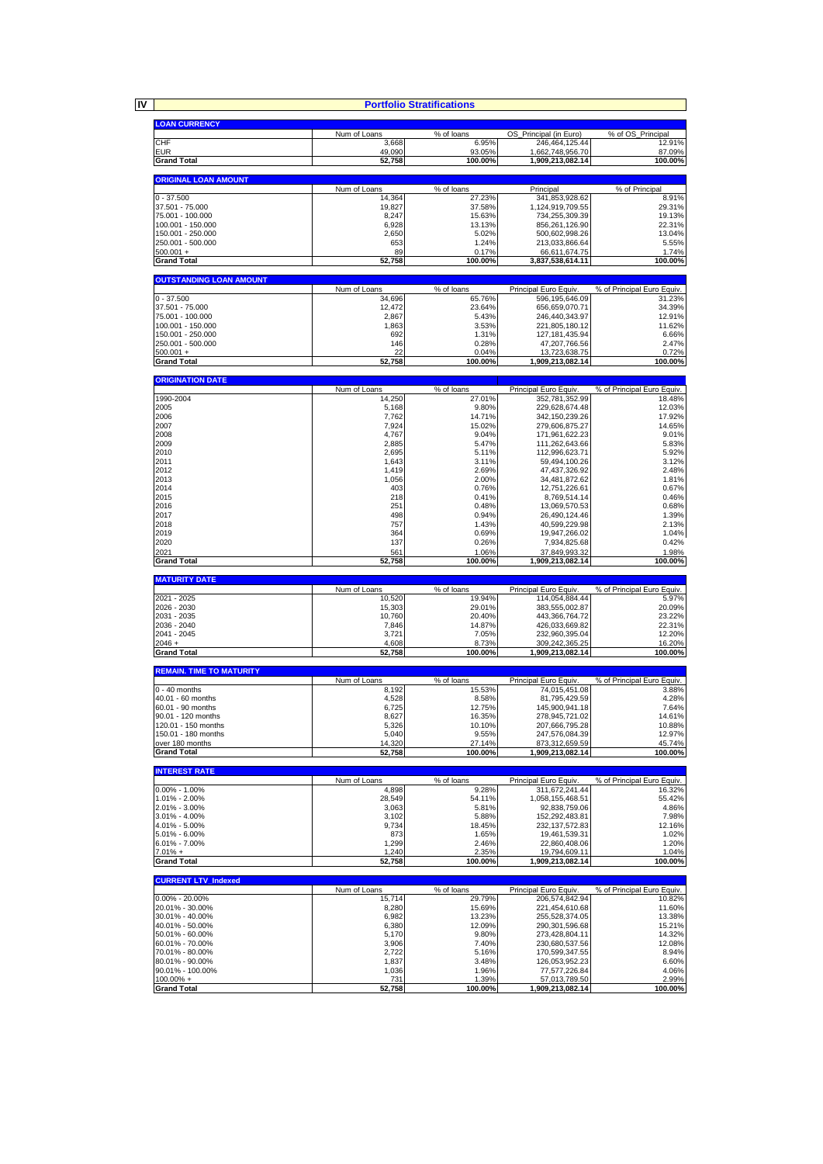**IV**

|                                            |                       | <b>Portfolio Stratifications</b> |                                      |                                                 |
|--------------------------------------------|-----------------------|----------------------------------|--------------------------------------|-------------------------------------------------|
| <b>LOAN CURRENCY</b>                       |                       |                                  |                                      |                                                 |
|                                            | Num of Loans          | % of loans                       | OS_Principal (in Euro)               | % of OS_Principal                               |
| CHF                                        | 3,668                 | 6.95%                            | 246,464,125.44                       | 12.91%                                          |
| <b>EUR</b><br><b>Grand Total</b>           | 49,090<br>52,758      | 93.05%<br>100.00%                | 1,662,748,956.70<br>1,909,213,082.14 | 87.09%<br>100.00%                               |
|                                            |                       |                                  |                                      |                                                 |
| <b>ORIGINAL LOAN AMOUNT</b>                | Num of Loans          | % of loans                       |                                      | % of Principal                                  |
| $0 - 37.500$                               | 14,364                | 27.23%                           | Principal<br>341,853,928.62          | 8.91%                                           |
| 37.501 - 75.000                            | 19,827                | 37.58%                           | 1,124,919,709.55                     | 29.31%                                          |
| 75.001 - 100.000<br>100.001 - 150.000      | 8,247<br>6,928        | 15.63%<br>13.13%                 | 734,255,309.39<br>856,261,126.90     | 19.13%<br>22.31%                                |
| 150.001 - 250.000                          | 2,650                 | 5.02%                            | 500,602,998.26                       | 13.04%                                          |
| 250.001 - 500.000                          | 653<br>89             | 1.24%<br>0.17%                   | 213,033,866.64                       | 5.55%<br>1.74%                                  |
| $500.001 +$<br><b>Grand Total</b>          | 52,758                | 100.00%                          | 66,611,674.75<br>3,837,538,614.11    | 100.00%                                         |
|                                            |                       |                                  |                                      |                                                 |
| <b>OUTSTANDING LOAN AMOUNT</b>             | Num of Loans          | % of loans                       | Principal Euro Equiv.                | % of Principal Euro Equiv.                      |
| $0 - 37.500$                               | 34,696                | 65.76%                           | 596, 195, 646.09                     | 31.23%                                          |
| 37.501 - 75.000<br>75.001 - 100.000        | 12,472<br>2,867       | 23.64%<br>5.43%                  | 656,659,070.71<br>246,440,343.97     | 34.39%<br>12.91%                                |
| 100.001 - 150.000                          | 1,863                 | 3.53%                            | 221,805,180.12                       | 11.62%                                          |
| 150.001 - 250.000                          | 692                   | 1.31%                            | 127, 181, 435. 94                    | 6.66%                                           |
| 250.001 - 500.000<br>$500.001 +$           | 146<br>22             | 0.28%<br>0.04%                   | 47,207,766.56<br>13,723,638.75       | 2.47%<br>0.72%                                  |
| <b>Grand Total</b>                         | 52,758                | 100.00%                          | 1,909,213,082.14                     | 100.00%                                         |
|                                            |                       |                                  |                                      |                                                 |
| <b>ORIGINATION DATE</b>                    | Num of Loans          | % of loans                       | Principal Euro Equiv.                | % of Principal Euro Equiv.                      |
| 1990-2004                                  | 14,250                | 27.01%                           | 352,781,352.99                       | 18.48%                                          |
| 2005<br>2006                               | 5,168<br>7,762        | 9.80%<br>14.71%                  | 229,628,674.48<br>342, 150, 239. 26  | 12.03%<br>17.92%                                |
| 2007                                       | 7,924                 | 15.02%                           | 279,606,875.27                       | 14.65%                                          |
| 2008<br>2009                               | 4,767                 | 9.04%<br>5.47%                   | 171.961.622.23                       | 9.01%                                           |
| 2010                                       | 2,885<br>2,695        | 5.11%                            | 111,262,643.66<br>112,996,623.71     | 5.83%<br>5.92%                                  |
| 2011                                       | 1,643                 | 3.11%                            | 59,494,100.26                        | 3.12%                                           |
| 2012<br>2013                               | 1,419<br>1,056        | 2.69%<br>2.00%                   | 47,437,326.92<br>34,481,872.62       | 2.48%<br>1.81%                                  |
| 2014                                       | 403                   | 0.76%                            | 12,751,226.61                        | 0.67%                                           |
| 2015<br>2016                               | 218<br>251            | 0.41%<br>0.48%                   | 8,769,514.14                         | 0.46%<br>0.68%                                  |
| 2017                                       | 498                   | 0.94%                            | 13,069,570.53<br>26,490,124.46       | 1.39%                                           |
| 2018                                       | 757                   | 1.43%                            | 40,599,229.98                        | 2.13%                                           |
| 2019<br>2020                               | 364<br>137            | 0.69%<br>0.26%                   | 19,947,266.02<br>7,934,825.68        | 1.04%<br>0.42%                                  |
| 2021                                       | 561                   | 1.06%                            | 37,849,993.32                        | 1.98%                                           |
| <b>Grand Total</b>                         | 52,758                | 100.00%                          | 1,909,213,082.14                     | 100.00%                                         |
| <b>MATURITY DATE</b>                       |                       |                                  |                                      |                                                 |
|                                            | Num of Loans          | $\sqrt%$ of loans                | Principal Euro Equiv.                | % of Principal Euro Equiv.                      |
| 2021 - 2025<br>2026 - 2030                 | 10,520<br>15,303      | 19.94%<br>29.01%                 | 114,054,884.44<br>383,555,002.87     | 5.97%<br>20.09%                                 |
| 2031 - 2035                                | 10,760                | 20.40%                           | 443,366,764.72                       | 23.22%                                          |
| 2036 - 2040<br>2041 - 2045                 | 7,846<br>3,721        | 14.87%<br>7.05%                  | 426,033,669.82<br>232,960,395.04     | 22.31%<br>12.20%                                |
| $2046 +$                                   | 4,608                 | 8.73%                            | 309,242,365.25                       | 16.20%                                          |
| <b>Grand Total</b>                         | 52,758                | 100.00%                          |                                      |                                                 |
| <b>REMAIN. TIME TO MATURITY</b>            |                       |                                  | 1.909.213.082.14                     | 100.00%                                         |
|                                            |                       |                                  |                                      |                                                 |
|                                            | Num of Loans          | % of loans                       | Principal Euro Equiv.                | % of Principal Euro Equiv.                      |
| $0 - 40$ months                            | 8,192                 | 15.53%                           | 74,015,451.08                        | 3.88%                                           |
| 40.01 - 60 months<br>60.01 - 90 months     | 4,528<br>6,725        | 8.58%<br>12.75%                  | 81.795.429.59<br>145,900,941.18      | 4.28%<br>7.64%                                  |
| 90.01 - 120 months                         | 8,627                 | 16.35%                           | 278,945,721.02                       | 14.61%                                          |
| 120.01 - 150 months<br>150.01 - 180 months | 5,326<br>5,040        | 10.10%<br>9.55%                  | 207,666,795.28<br>247,576,084.39     | 10.88%<br>12.97%                                |
| over 180 months                            | 14,320                | 27.14%                           | 873,312,659.59                       | 45.74%                                          |
| <b>Grand Total</b>                         | 52,758                | 100.00%                          | 1,909,213,082.14                     |                                                 |
| <b>INTEREST RATE</b>                       |                       |                                  |                                      |                                                 |
| $0.00\% - 1.00\%$                          | Num of Loans<br>4,898 | % of loans<br>9.28%              | Principal Euro Equiv.                | 100.00%<br>% of Principal Euro Equiv.<br>16.32% |
| 1.01% - 2.00%                              | 28,549                | 54.11%                           | 311,672,241.44<br>1,058,155,468.51   | 55.42%                                          |
| 2.01% - 3.00%                              | 3,063                 | 5.81%                            | 92,838,759.06                        | 4.86%                                           |
| 3.01% - 4.00%<br>4.01% - 5.00%             | 3,102<br>9,734        | 5.88%<br>18.45%                  | 152,292,483.81<br>232, 137, 572.83   | 7.98%<br>12.16%                                 |
| 5.01% - 6.00%                              | 873                   | 1.65%                            | 19,461,539.31                        | 1.02%                                           |
| $6.01\% - 7.00\%$<br>$7.01% +$             | 1,299<br>1,240        | 2.46%<br>2.35%                   | 22,860,408.06<br>19,794,609.11       | 1.20%<br>1.04%                                  |
| <b>Grand Total</b>                         | 52,758                | 100.00%                          | 1,909,213,082.14                     | 100.00%                                         |
|                                            |                       |                                  |                                      |                                                 |
| <b>CURRENT LTV_Indexed</b>                 | Num of Loans          | % of loans                       | Principal Euro Equiv                 | % of Principal Euro Equiv.                      |
| $0.00\% - 20.00\%$                         | 15,714                | 29.79%                           | 206,574,842.94                       | 10.82%                                          |
| 20.01% - 30.00%<br>30.01% - 40.00%         | 8,280<br>6,982        | 15.69%<br>13.23%                 | 221,454,610.68<br>255,528,374.05     | 11.60%<br>13.38%                                |
| 40.01% - 50.00%                            | 6,380                 | 12.09%                           | 290,301,596.68                       | 15.21%                                          |
| 50.01% - 60.00%                            | 5,170                 | 9.80%                            | 273,428,804.11                       | 14.32%                                          |
| 60.01% - 70.00%<br>70.01% - 80.00%         | 3,906<br>2,722        | 7.40%<br>5.16%                   | 230,680,537.56<br>170,599,347.55     | 12.08%<br>8.94%                                 |
| 80.01% - 90.00%                            | 1,837                 | 3.48%                            | 126,053,952.23                       | 6.60%                                           |
| 90.01% - 100.00%<br>100.00% +              | 1,036<br>731          | 1.96%<br>1.39%                   | 77,577,226.84<br>57,013,789.50       | 4.06%<br>2.99%                                  |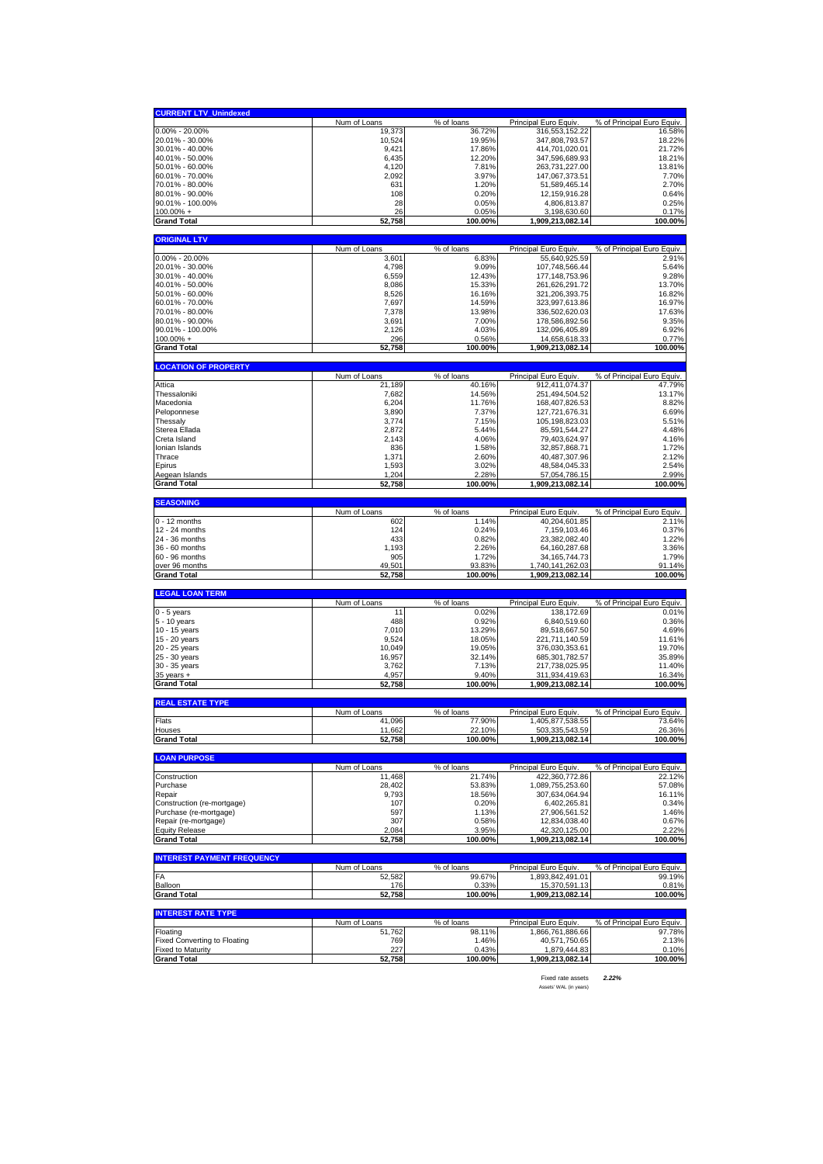| <b>CURRENT LTV_Unindexed</b>                                    |                        |                      |                                    |                                      |
|-----------------------------------------------------------------|------------------------|----------------------|------------------------------------|--------------------------------------|
|                                                                 | Num of Loans           | % of loans           | Principal Euro Equiv.              | % of Principal Euro Equiv.           |
| $0.00\% - 20.00\%$                                              | 19,373                 | 36.72%               | 316,553,152.22                     | 16.58%                               |
| 20.01% - 30.00%<br>30.01% - 40.00%                              | 10,524                 | 19.95%               | 347,808,793.57                     | 18.22%<br>21.72%                     |
| 40.01% - 50.00%                                                 | 9,421<br>6,435         | 17.86%<br>12.20%     | 414,701,020.01<br>347,596,689.93   | 18.21%                               |
| 50.01% - 60.00%                                                 | 4,120                  | 7.81%                | 263,731,227.00                     | 13.81%                               |
| 60.01% - 70.00%                                                 | 2,092                  | 3.97%                | 147,067,373.51                     | 7.70%                                |
| 70.01% - 80.00%                                                 | 631                    | 1.20%                | 51,589,465.14                      | 2.70%                                |
| 80.01% - 90.00%                                                 | 108                    | 0.20%                | 12,159,916.28                      | 0.64%                                |
| 90.01% - 100.00%<br>$100.00\% +$                                | 28<br>26               | 0.05%<br>0.05%       | 4,806,813.87<br>3,198,630.60       | 0.25%<br>0.17%                       |
| <b>Grand Total</b>                                              | 52,758                 | 100.00%              | 1,909,213,082.14                   | 100.00%                              |
|                                                                 |                        |                      |                                    |                                      |
| <b>ORIGINAL LTV</b>                                             | Num of Loans           | % of loans           | Principal Euro Equiv.              | % of Principal Euro Equiv.           |
| $0.00\% - 20.00\%$                                              | 3,601                  | 6.83%                | 55,640,925.59                      | 2.91%                                |
| 20.01% - 30.00%                                                 | 4,798                  | 9.09%                | 107,748,566.44                     | 5.64%                                |
| 30.01% - 40.00%                                                 | 6,559                  | 12.43%               | 177, 148, 753. 96                  | 9.28%                                |
| 40.01% - 50.00%                                                 | 8,086                  | 15.33%               | 261,626,291.72                     | 13.70%                               |
| 50.01% - 60.00%                                                 | 8,526                  | 16.16%               | 321,206,393.75                     | 16.82%                               |
| 60.01% - 70.00%<br>70.01% - 80.00%                              | 7,697<br>7,378         | 14.59%<br>13.98%     | 323,997,613.86<br>336,502,620.03   | 16.97%<br>17.63%                     |
| 80.01% - 90.00%                                                 | 3,691                  | 7.00%                | 178,586,892.56                     | 9.35%                                |
| 90.01% - 100.00%                                                | 2,126                  | 4.03%                | 132,096,405.89                     | 6.92%                                |
| $100.00\%$ +                                                    | 296                    | 0.56%                | 14,658,618.33                      | 0.77%                                |
| <b>Grand Total</b>                                              | 52,758                 | 100.00%              | 1,909,213,082.14                   | 100.00%                              |
| <b>LOCATION OF PROPERTY</b>                                     |                        |                      |                                    |                                      |
|                                                                 | Num of Loans           | % of loans           | Principal Euro Equiv               | % of Principal Euro Equiv.           |
| Attica                                                          | 21,189                 | 40.16%               | 912,411,074.37                     | 47.79%                               |
| Thessaloniki<br>Macedonia                                       | 7,682                  | 14.56%               | 251,494,504.52                     | 13.17%                               |
| Peloponnese                                                     | 6,204<br>3,890         | 11.76%<br>7.37%      | 168,407,826.53<br>127,721,676.31   | 8.82%<br>6.69%                       |
| Thessaly                                                        | 3,774                  | 7.15%                | 105,198,823.03                     | 5.51%                                |
| Sterea Ellada                                                   | 2,872                  | 5.44%                | 85,591,544.27                      | 4.48%                                |
| Creta Island                                                    | 2,143                  | 4.06%                | 79,403,624.97                      | 4.16%                                |
| Ionian Islands                                                  | 836                    | 1.58%                | 32,857,868.71                      | 1.72%                                |
| Thrace                                                          | 1,371                  | 2.60%                | 40,487,307.96                      | 2.12%                                |
| Epirus<br>Aegean Islands                                        | 1,593<br>1,204         | 3.02%<br>2.28%       | 48,584,045.33<br>57,054,786.15     | 2.54%<br>2.99%                       |
| <b>Grand Total</b>                                              | 52,758                 | 100.00%              | 1,909,213,082.14                   | 100.00%                              |
|                                                                 |                        |                      |                                    |                                      |
| <b>SEASONING</b>                                                | Num of Loans           | % of loans           | Principal Euro Equiv.              | % of Principal Euro Equiv.           |
| $0 - 12$ months                                                 | 602                    | 1.14%                | 40,204,601.85                      | 2.11%                                |
| 12 - 24 months                                                  | 124                    |                      |                                    | 0.37%                                |
|                                                                 |                        | 0.24%                | 7,159,103.46                       |                                      |
| 24 - 36 months                                                  | 433                    | 0.82%                | 23,382,082.40                      | 1.22%                                |
| 36 - 60 months                                                  | 1,193                  | 2.26%                | 64, 160, 287. 68                   | 3.36%                                |
| 60 - 96 months                                                  | 905                    | 1.72%                | 34, 165, 744. 73                   | 1.79%                                |
| over 96 months<br><b>Grand Total</b>                            | 49,501<br>52,758       | 93.83%<br>100.00%    | 1,740,141,262.03                   | 91.14%<br>100.00%                    |
|                                                                 |                        |                      | 1,909,213,082.14                   |                                      |
| <b>LEGAL LOAN TERM</b>                                          |                        |                      |                                    |                                      |
| $0 - 5$ years                                                   | Num of Loans<br>11     | % of loans<br>0.02%  | Principal Euro Equiv<br>138,172.69 | % of Principal Euro Equiv.<br>0.01%  |
| 5 - 10 years                                                    | 488                    | 0.92%                | 6,840,519.60                       | 0.36%                                |
| 10 - 15 years                                                   | 7,010                  | 13.29%               | 89,518,667.50                      | 4.69%                                |
| 15 - 20 years                                                   | 9,524                  | 18.05%               | 221,711,140.59                     | 11.61%                               |
| 20 - 25 years                                                   | 10,049                 | 19.05%               | 376,030,353.61                     | 19.70%                               |
| 25 - 30 years<br>30 - 35 years                                  | 16,957<br>3,762        | 32.14%<br>7.13%      | 685,301,782.57<br>217,738,025.95   | 35.89%<br>11.40%                     |
| $35$ years $+$                                                  | 4,957                  | 9.40%                | 311,934,419.63                     | 16.34%                               |
| <b>Grand Total</b>                                              | 52,758                 | 100.00%              | 1,909,213,082.14                   | 100.00%                              |
| <b>REAL ESTATE TYPE</b>                                         |                        |                      |                                    |                                      |
|                                                                 | Num of Loans           | % of loans           | Principal Euro Equiv               | % of Principal Euro Equiv.           |
| Flats                                                           | ,096<br>41             | 77.90%               | 1,405,877,538.55                   | 73.64%                               |
| Houses<br><b>Grand Total</b>                                    | 11,662                 | 22.10%               | 503,335,543.59                     | 26.36%<br>100.00%                    |
|                                                                 | 52,758                 | 100.00%              | 1,909,213,082.14                   |                                      |
| <b>LOAN PURPOSE</b>                                             |                        |                      |                                    |                                      |
|                                                                 | Num of Loans           | % of loans           | Principal Euro Equiv.              | % of Principal Euro Equiv.           |
| Construction<br>Purchase                                        | 11,468<br>28,402       | 21.74%<br>53.83%     | 422,360,772.86<br>1,089,755,253.60 | 22.12%<br>57.08%                     |
| Repair                                                          | 9,793                  | 18.56%               | 307.634.064.94                     | 16.11%                               |
| Construction (re-mortgage)                                      | 107                    | 0.20%                | 6,402,265.81                       | 0.34%                                |
| Purchase (re-mortgage)                                          | 597                    | 1.13%                | 27,906,561.52                      | 1.46%                                |
| Repair (re-mortgage)                                            | 307                    | 0.58%                | 12,834,038.40                      | 0.67%                                |
| <b>Equity Release</b><br><b>Grand Total</b>                     | 2,084<br>52,758        | 3.95%<br>100.00%     | 42,320,125.00<br>1,909,213,082.14  | 2.22%<br>100.00%                     |
|                                                                 |                        |                      |                                    |                                      |
| <b>INTEREST PAYMENT FREQUENCY</b>                               |                        |                      | Principal Euro Equiv.              |                                      |
| FA                                                              | Num of Loans<br>52,582 | % of loans<br>99.67% | 1,893,842,491.01                   | % of Principal Euro Equiv.<br>99.19% |
| Balloon                                                         | 176                    | 0.33%                | 15,370,591.13                      | 0.81%                                |
| <b>Grand Total</b>                                              | 52,758                 | 100.00%              | 1,909,213,082.14                   | 100.00%                              |
| <b>INTEREST RATE TYPE</b>                                       |                        |                      |                                    |                                      |
|                                                                 | Num of Loans           | % of loans           | Principal Euro Equiv.              | % of Principal Euro Equiv.           |
| Floating                                                        | 51,762                 | 98.11%               | 1,866,761,886.66                   | 97.78%                               |
| <b>Fixed Converting to Floating</b><br><b>Fixed to Maturity</b> | 769<br>227             | 1.46%<br>0.43%       | 40,571,750.65<br>1,879,444.83      | 2.13%<br>0.10%                       |

Fixed rate assets *2.22%* Assets' WAL (in years)